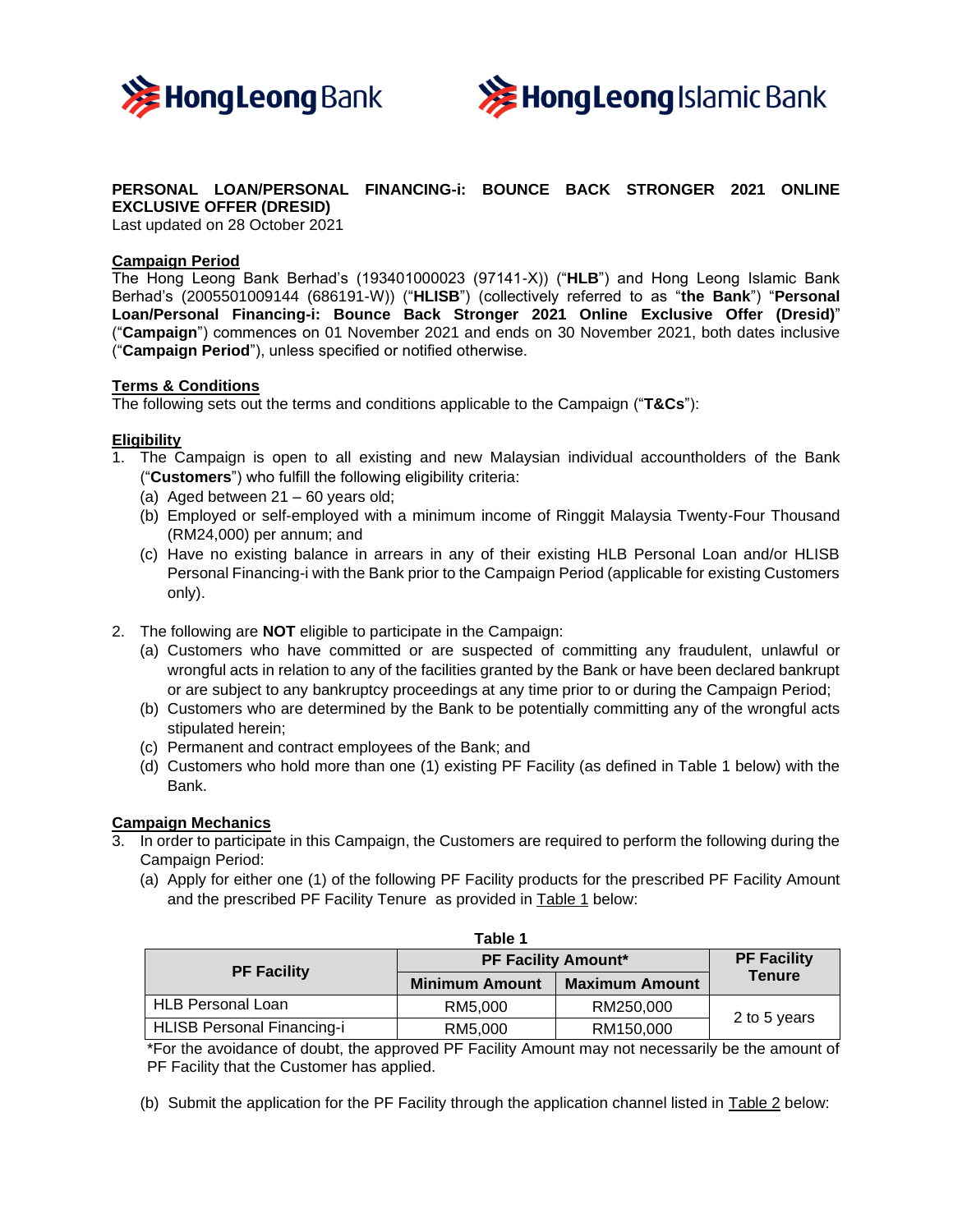



## **PERSONAL LOAN/PERSONAL FINANCING-i: BOUNCE BACK STRONGER 2021 ONLINE EXCLUSIVE OFFER (DRESID)**

Last updated on 28 October 2021

## **Campaign Period**

The Hong Leong Bank Berhad's (193401000023 (97141-X)) ("**HLB**") and Hong Leong Islamic Bank Berhad's (2005501009144 (686191-W)) ("**HLISB**") (collectively referred to as "**the Bank**") "**Personal Loan/Personal Financing-i: Bounce Back Stronger 2021 Online Exclusive Offer (Dresid)**" ("**Campaign**") commences on 01 November 2021 and ends on 30 November 2021, both dates inclusive ("**Campaign Period**"), unless specified or notified otherwise.

#### **Terms & Conditions**

The following sets out the terms and conditions applicable to the Campaign ("**T&Cs**"):

# **Eligibility**

- 1. The Campaign is open to all existing and new Malaysian individual accountholders of the Bank ("**Customers**") who fulfill the following eligibility criteria:
	- (a) Aged between 21 60 years old;
	- (b) Employed or self-employed with a minimum income of Ringgit Malaysia Twenty-Four Thousand (RM24,000) per annum; and
	- (c) Have no existing balance in arrears in any of their existing HLB Personal Loan and/or HLISB Personal Financing-i with the Bank prior to the Campaign Period (applicable for existing Customers only).
- 2. The following are **NOT** eligible to participate in the Campaign:
	- (a) Customers who have committed or are suspected of committing any fraudulent, unlawful or wrongful acts in relation to any of the facilities granted by the Bank or have been declared bankrupt or are subject to any bankruptcy proceedings at any time prior to or during the Campaign Period;
	- (b) Customers who are determined by the Bank to be potentially committing any of the wrongful acts stipulated herein;
	- (c) Permanent and contract employees of the Bank; and
	- (d) Customers who hold more than one (1) existing PF Facility (as defined in Table 1 below) with the Bank.

### **Campaign Mechanics**

- 3. In order to participate in this Campaign, the Customers are required to perform the following during the Campaign Period:
	- (a) Apply for either one (1) of the following PF Facility products for the prescribed PF Facility Amount and the prescribed PF Facility Tenure as provided in Table 1 below:

| Table 1                    |                            |                       |                    |  |  |
|----------------------------|----------------------------|-----------------------|--------------------|--|--|
| <b>PF Facility</b>         | <b>PF Facility Amount*</b> |                       | <b>PF Facility</b> |  |  |
|                            | <b>Minimum Amount</b>      | <b>Maximum Amount</b> | <b>Tenure</b>      |  |  |
| <b>HLB Personal Loan</b>   | RM5.000                    | RM250,000             | 2 to 5 years       |  |  |
| HLISB Personal Financing-i | RM5.000                    | RM150,000             |                    |  |  |

\*For the avoidance of doubt, the approved PF Facility Amount may not necessarily be the amount of PF Facility that the Customer has applied.

(b) Submit the application for the PF Facility through the application channel listed in Table 2 below: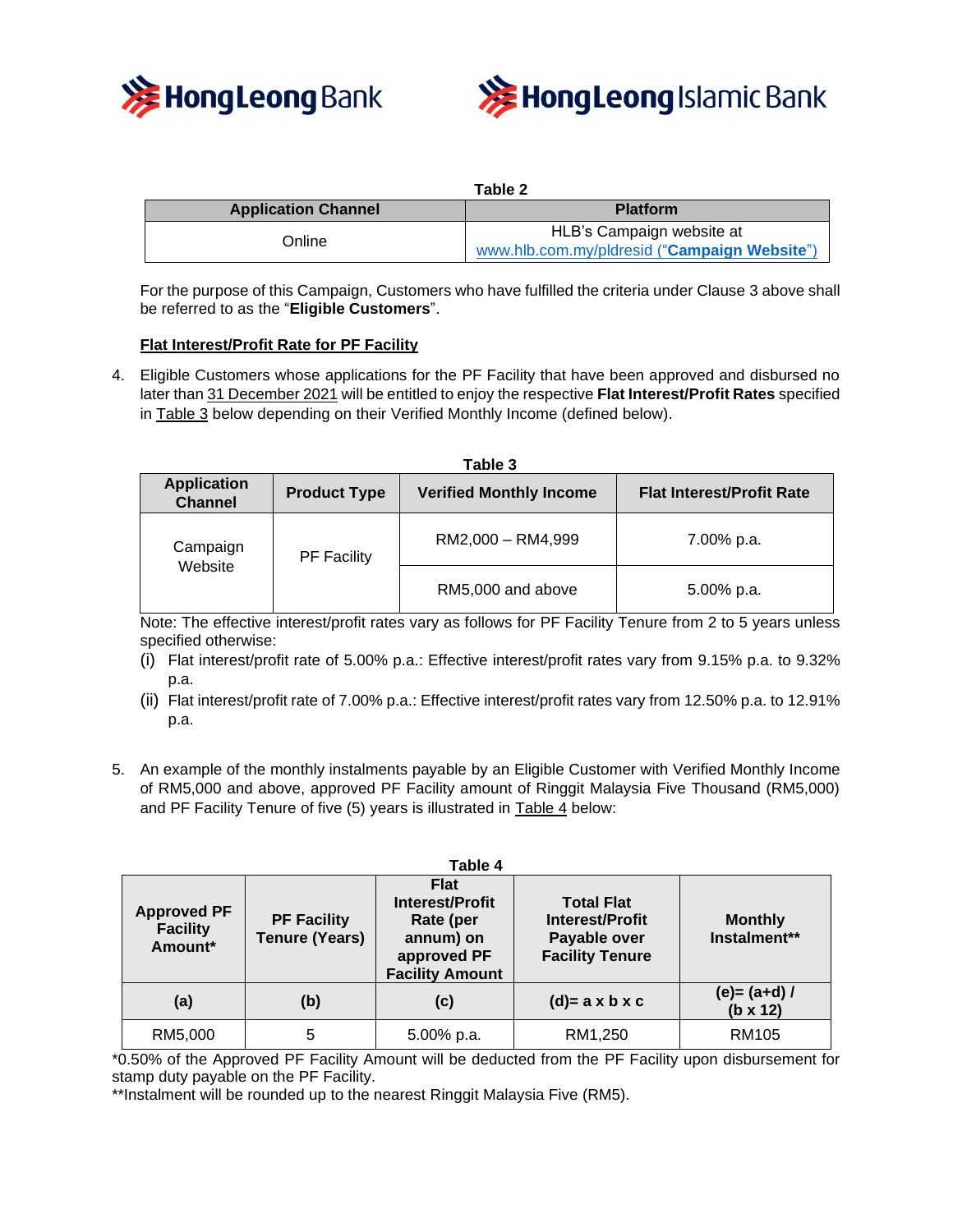



| Table 2                    |                                              |  |  |  |
|----------------------------|----------------------------------------------|--|--|--|
| <b>Application Channel</b> | <b>Platform</b>                              |  |  |  |
| Online                     | HLB's Campaign website at                    |  |  |  |
|                            | www.hlb.com.my/pldresid ("Campaign Website") |  |  |  |

For the purpose of this Campaign, Customers who have fulfilled the criteria under Clause 3 above shall be referred to as the "**Eligible Customers**".

## **Flat Interest/Profit Rate for PF Facility**

4. Eligible Customers whose applications for the PF Facility that have been approved and disbursed no later than 31 December 2021 will be entitled to enjoy the respective **Flat Interest/Profit Rates** specified in Table 3 below depending on their Verified Monthly Income (defined below).

| Table 3                              |                                                       |                   |                                  |  |  |  |  |  |
|--------------------------------------|-------------------------------------------------------|-------------------|----------------------------------|--|--|--|--|--|
| <b>Application</b><br><b>Channel</b> | <b>Verified Monthly Income</b><br><b>Product Type</b> |                   | <b>Flat Interest/Profit Rate</b> |  |  |  |  |  |
| Campaign<br>Website                  | <b>PF Facility</b>                                    | RM2,000 - RM4,999 | 7.00% p.a.                       |  |  |  |  |  |
|                                      |                                                       | RM5,000 and above | 5.00% p.a.                       |  |  |  |  |  |

Note: The effective interest/profit rates vary as follows for PF Facility Tenure from 2 to 5 years unless specified otherwise:

- (i) Flat interest/profit rate of 5.00% p.a.: Effective interest/profit rates vary from 9.15% p.a. to 9.32% p.a.
- (ii) Flat interest/profit rate of 7.00% p.a.: Effective interest/profit rates vary from 12.50% p.a. to 12.91% p.a.
- 5. An example of the monthly instalments payable by an Eligible Customer with Verified Monthly Income of RM5,000 and above, approved PF Facility amount of Ringgit Malaysia Five Thousand (RM5,000) and PF Facility Tenure of five (5) years is illustrated in Table 4 below:

|                                                  |                                             | Table 4                                                                                                  |                                                                                       |                                    |
|--------------------------------------------------|---------------------------------------------|----------------------------------------------------------------------------------------------------------|---------------------------------------------------------------------------------------|------------------------------------|
| <b>Approved PF</b><br><b>Facility</b><br>Amount* | <b>PF Facility</b><br><b>Tenure (Years)</b> | <b>Flat</b><br><b>Interest/Profit</b><br>Rate (per<br>annum) on<br>approved PF<br><b>Facility Amount</b> | <b>Total Flat</b><br><b>Interest/Profit</b><br>Payable over<br><b>Facility Tenure</b> | <b>Monthly</b><br>Instalment**     |
| (a)                                              | (b)                                         | (c)                                                                                                      | $(d)=a \times b \times c$                                                             | $(e) = (a+d) /$<br>$(b \times 12)$ |
| RM5,000                                          | 5                                           | 5.00% p.a.                                                                                               | RM1,250                                                                               | <b>RM105</b>                       |

\*0.50% of the Approved PF Facility Amount will be deducted from the PF Facility upon disbursement for stamp duty payable on the PF Facility.

\*\*Instalment will be rounded up to the nearest Ringgit Malaysia Five (RM5).